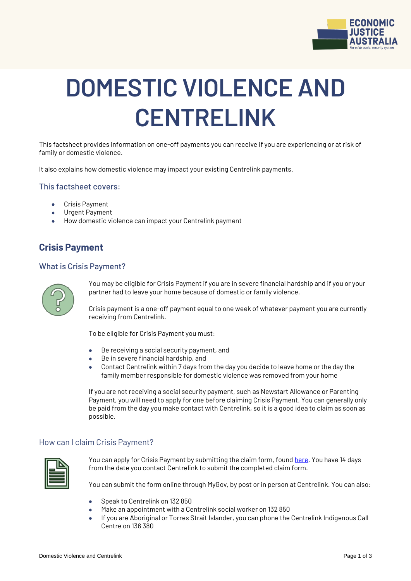

# **DOMESTIC VIOLENCE AND CENTRELINK**

This factsheet provides information on one-off payments you can receive if you are experiencing or at risk of family or domestic violence.

It also explains how domestic violence may impact your existing Centrelink payments.

#### This factsheet covers:

- Crisis Payment
- Urgent Payment
- How domestic violence can impact your Centrelink payment

# **Crisis Payment**

#### What is Crisis Payment?



You may be eligible for Crisis Payment if you are in severe financial hardship and if you or your partner had to leave your home because of domestic or family violence.

Crisis payment is a one-off payment equal to one week of whatever payment you are currently receiving from Centrelink.

To be eligible for Crisis Payment you must:

- Be receiving a social security payment, and
- Be in severe financial hardship, and
- Contact Centrelink within 7 days from the day you decide to leave home or the day the family member responsible for domestic violence was removed from your home

If you are not receiving a social security payment, such as Newstart Allowance or Parenting Payment, you will need to apply for one before claiming Crisis Payment. You can generally only be paid from the day you make contact with Centrelink, so it is a good idea to claim as soon as possible.

#### How can I claim Crisis Payment?



You can apply for Crisis Payment by submitting the claim form, found [here.](https://www.humanservices.gov.au/individuals/enablers/claiming-crisis-payment/30756) You have 14 days from the date you contact Centrelink to submit the completed claim form.

You can submit the form online through MyGov, by post or in person at Centrelink. You can also:

- Speak to Centrelink on 132 850
- Make an appointment with a Centrelink social worker on 132 850
- If you are Aboriginal or Torres Strait Islander, you can phone the Centrelink Indigenous Call Centre on 136 380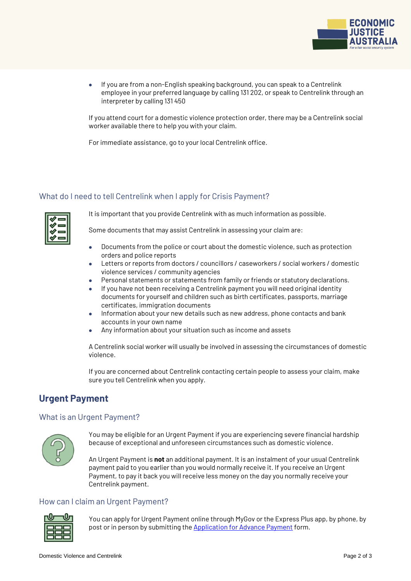

 If you are from a non-English speaking background, you can speak to a Centrelink employee in your preferred language by calling 131 202, or speak to Centrelink through an interpreter by calling 131 450

If you attend court for a domestic violence protection order, there may be a Centrelink social worker available there to help you with your claim.

For immediate assistance, go to your local Centrelink office.

## What do I need to tell Centrelink when I apply for Crisis Payment?



It is important that you provide Centrelink with as much information as possible.

Some documents that may assist Centrelink in assessing your claim are:

- Documents from the police or court about the domestic violence, such as protection orders and police reports
- Letters or reports from doctors / councillors / caseworkers / social workers / domestic violence services / community agencies
- Personal statements or statements from family or friends or statutory declarations.
- If you have not been receiving a Centrelink payment you will need original identity documents for yourself and children such as birth certificates, passports, marriage certificates, immigration documents
- Information about your new details such as new address, phone contacts and bank accounts in your own name
- Any information about your situation such as income and assets

A Centrelink social worker will usually be involved in assessing the circumstances of domestic violence.

If you are concerned about Centrelink contacting certain people to assess your claim, make sure you tell Centrelink when you apply.

# **Urgent Payment**

## What is an Urgent Payment?



You may be eligible for an Urgent Payment if you are experiencing severe financial hardship because of exceptional and unforeseen circumstances such as domestic violence.

An Urgent Payment is **not** an additional payment. It is an instalment of your usual Centrelink payment paid to you earlier than you would normally receive it. If you receive an Urgent Payment, to pay it back you will receive less money on the day you normally receive your Centrelink payment.

## How can I claim an Urgent Payment?



You can apply for Urgent Payment online through MyGov or the Express Plus app, by phone, by post or in person by submitting th[e Application for Advance Payment](https://www.humanservices.gov.au/individuals/forms/ss352) form.